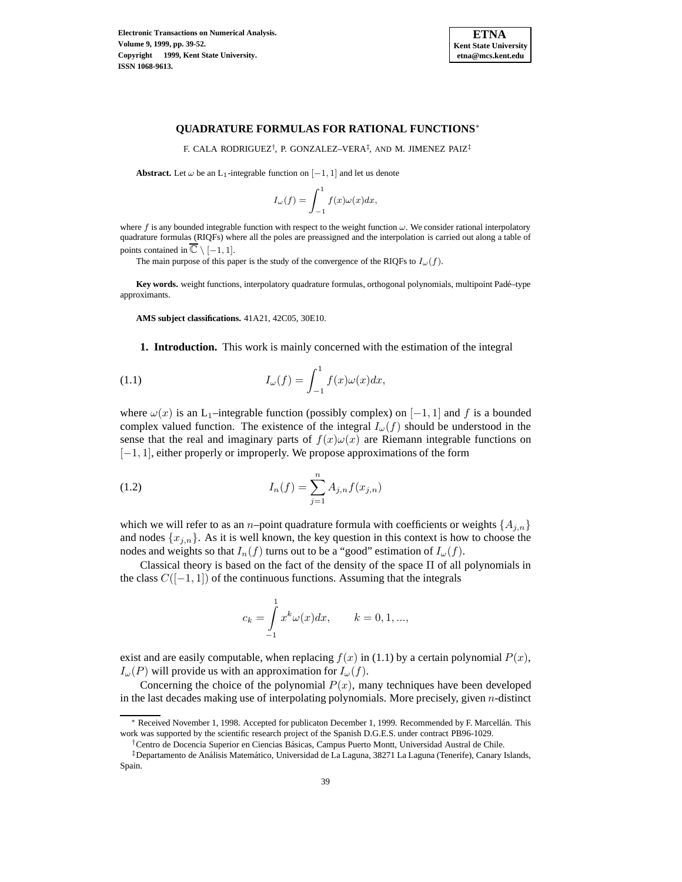

## **QUADRATURE FORMULAS FOR RATIONAL FUNCTIONS**<sup>∗</sup>

F. CALA RODRIGUEZ†, P. GONZALEZ–VERA‡, AND M. JIMENEZ PAIZ‡

**Abstract.** Let  $\omega$  be an L<sub>1</sub>-integrable function on  $[-1, 1]$  and let us denote

$$
I_{\omega}(f) = \int_{-1}^{1} f(x)\omega(x)dx,
$$

where f is any bounded integrable function with respect to the weight function  $\omega$ . We consider rational interpolatory quadrature formulas (RIQFs) where all the poles are preassigned and the interpolation is carried out along a table of points contained in  $\overline{\mathbb{C}} \setminus [-1, 1]$ .

The main purpose of this paper is the study of the convergence of the RIQFs to  $I_{\omega}(f)$ .

Key words. weight functions, interpolatory quadrature formulas, orthogonal polynomials, multipoint Padé–type approximants.

**AMS subject classifications.** 41A21, 42C05, 30E10.

**1. Introduction.** This work is mainly concerned with the estimation of the integral

(1.1) 
$$
I_{\omega}(f) = \int_{-1}^{1} f(x)\omega(x)dx,
$$

where  $\omega(x)$  is an L<sub>1</sub>–integrable function (possibly complex) on  $[-1, 1]$  and f is a bounded complex valued function. The existence of the integral  $I_{\omega}(f)$  should be understood in the sense that the real and imaginary parts of  $f(x) \omega(x)$  are Riemann integrable functions on [−1, 1], either properly or improperly. We propose approximations of the form

(1.2) 
$$
I_n(f) = \sum_{j=1}^n A_{j,n} f(x_{j,n})
$$

which we will refer to as an *n*–point quadrature formula with coefficients or weights  $\{A_{i,n}\}$ and nodes  $\{x_{j,n}\}.$  As it is well known, the key question in this context is how to choose the nodes and weights so that  $I_n(f)$  turns out to be a "good" estimation of  $I_\omega(f)$ .

Classical theory is based on the fact of the density of the space  $\Pi$  of all polynomials in the class  $C([-1, 1])$  of the continuous functions. Assuming that the integrals

$$
c_k = \int_{-1}^{1} x^k \omega(x) dx, \qquad k = 0, 1, ...,
$$

exist and are easily computable, when replacing  $f(x)$  in (1.1) by a certain polynomial  $P(x)$ ,  $I_{\omega}(P)$  will provide us with an approximation for  $I_{\omega}(f)$ .

Concerning the choice of the polynomial  $P(x)$ , many techniques have been developed in the last decades making use of interpolating polynomials. More precisely, given n-distinct

<sup>∗</sup> Received November 1, 1998. Accepted for publicaton December 1, 1999. Recommended by F. Marcell´an. This work was supported by the scientific research project of the Spanish D.G.E.S. under contract PB96-1029.

<sup>†</sup>Centro de Docencia Superior en Ciencias B´asicas, Campus Puerto Montt, Universidad Austral de Chile.

<sup>&</sup>lt;sup>‡</sup>Departamento de Análisis Matemático, Universidad de La Laguna, 38271 La Laguna (Tenerife), Canary Islands, Spain.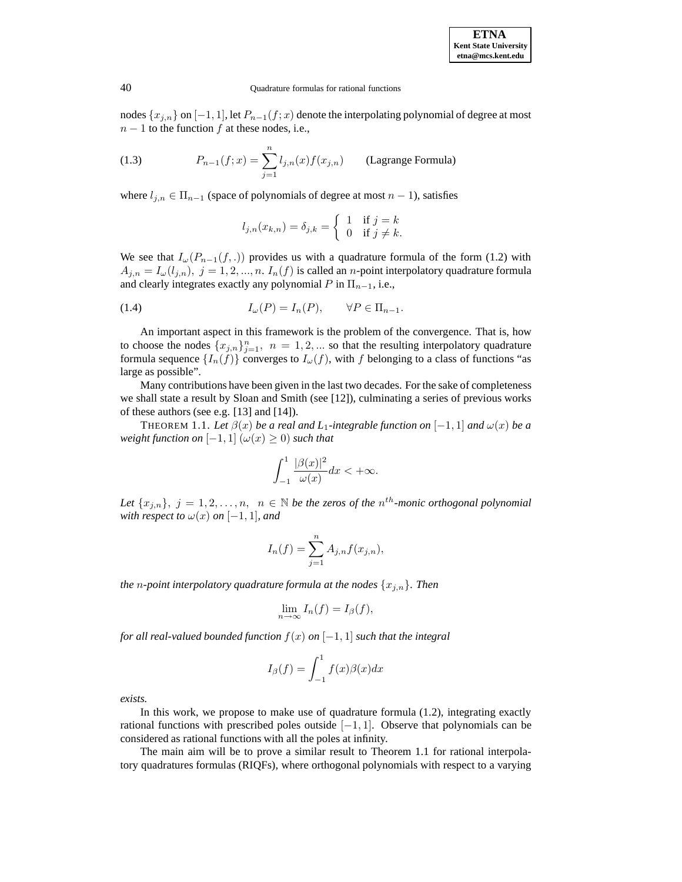nodes  $\{x_{j,n}\}$  on  $[-1, 1]$ , let  $P_{n-1}(f; x)$  denote the interpolating polynomial of degree at most  $n-1$  to the function f at these nodes, i.e.,

(1.3) 
$$
P_{n-1}(f;x) = \sum_{j=1}^{n} l_{j,n}(x) f(x_{j,n})
$$
 (Lagrange Formula)

where  $l_{j,n} \in \Pi_{n-1}$  (space of polynomials of degree at most  $n-1$ ), satisfies

$$
l_{j,n}(x_{k,n}) = \delta_{j,k} = \begin{cases} 1 & \text{if } j = k \\ 0 & \text{if } j \neq k. \end{cases}
$$

We see that  $I_{\omega}(P_{n-1}(f,.))$  provides us with a quadrature formula of the form (1.2) with  $A_{i,n} = I_{\omega}(l_{i,n}), j = 1, 2, ..., n$ .  $I_n(f)$  is called an *n*-point interpolatory quadrature formula and clearly integrates exactly any polynomial P in  $\Pi_{n-1}$ , i.e.,

(1.4) 
$$
I_{\omega}(P) = I_n(P), \qquad \forall P \in \Pi_{n-1}.
$$

An important aspect in this framework is the problem of the convergence. That is, how to choose the nodes  $\{x_{j,n}\}_{j=1}^n$ ,  $n = 1, 2, ...$  so that the resulting interpolatory quadrature formula sequence  $\{I_n(f)\}\$ converges to  $I_\omega(f)$ , with f belonging to a class of functions "as large as possible".

Many contributions have been given in the last two decades. For the sake of completeness we shall state a result by Sloan and Smith (see [12]), culminating a series of previous works of these authors (see e.g. [13] and [14]).

THEOREM 1.1. Let  $\beta(x)$  be a real and L<sub>1</sub>-integrable function on [-1, 1] and  $\omega(x)$  be a *weight function on*  $[-1, 1]$   $(\omega(x) \ge 0)$  *such that* 

$$
\int_{-1}^{1} \frac{|\beta(x)|^2}{\omega(x)} dx < +\infty.
$$

Let  $\{x_{i,n}\}, j = 1, 2, \ldots, n, n \in \mathbb{N}$  be the zeros of the  $n^{th}$ -monic orthogonal polynomial *with respect to*  $\omega(x)$  *on* [-1, 1]*, and* 

$$
I_n(f) = \sum_{j=1}^n A_{j,n} f(x_{j,n}),
$$

*the n*-point interpolatory quadrature formula at the nodes  $\{x_{j,n}\}$ *. Then* 

$$
\lim_{n \to \infty} I_n(f) = I_\beta(f),
$$

*for all real-valued bounded function*  $f(x)$  *on*  $[-1,1]$  *such that the integral* 

$$
I_{\beta}(f) = \int_{-1}^{1} f(x)\beta(x)dx
$$

*exists.*

In this work, we propose to make use of quadrature formula (1.2), integrating exactly rational functions with prescribed poles outside  $[-1, 1]$ . Observe that polynomials can be considered as rational functions with all the poles at infinity.

The main aim will be to prove a similar result to Theorem 1.1 for rational interpolatory quadratures formulas (RIQFs), where orthogonal polynomials with respect to a varying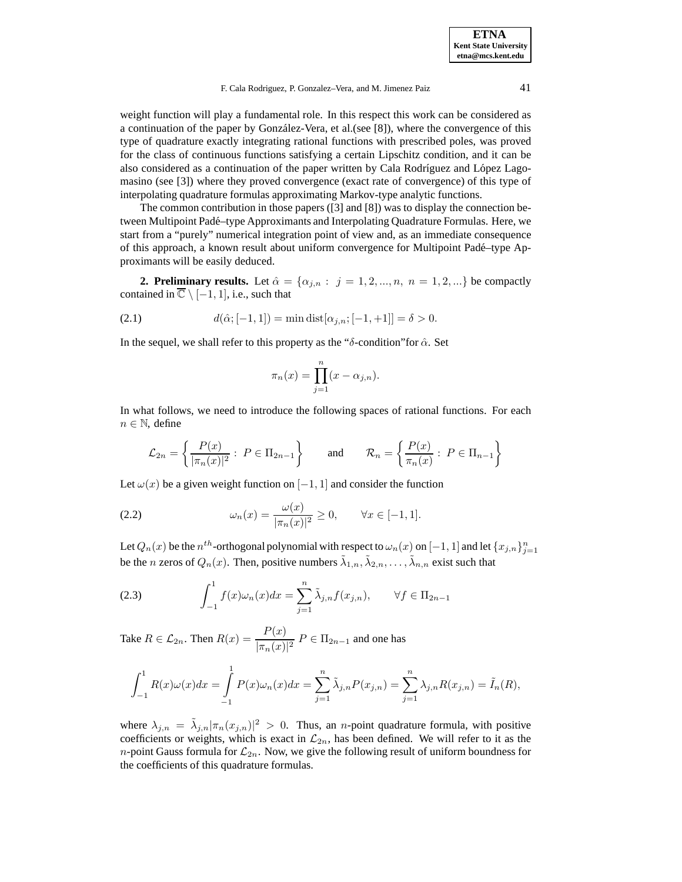F. Cala Rodriguez, P. Gonzalez–Vera, and M. Jimenez Paiz 41

weight function will play a fundamental role. In this respect this work can be considered as a continuation of the paper by González-Vera, et al. (see [8]), where the convergence of this type of quadrature exactly integrating rational functions with prescribed poles, was proved for the class of continuous functions satisfying a certain Lipschitz condition, and it can be also considered as a continuation of the paper written by Cala Rodríguez and López Lagomasino (see [3]) where they proved convergence (exact rate of convergence) of this type of interpolating quadrature formulas approximating Markov-type analytic functions.

The common contribution in those papers ([3] and [8]) was to display the connection between Multipoint Padé–type Approximants and Interpolating Quadrature Formulas. Here, we start from a "purely" numerical integration point of view and, as an immediate consequence of this approach, a known result about uniform convergence for Multipoint Padé–type Approximants will be easily deduced.

**2. Preliminary results.** Let  $\hat{\alpha} = {\alpha_{j,n} : j = 1, 2, ..., n, n = 1, 2, ...\}$  be compactly contained in  $\overline{\mathbb{C}} \setminus [-1, 1]$ , i.e., such that

(2.1) 
$$
d(\hat{\alpha}; [-1, 1]) = \min \text{dist}[\alpha_{j,n}; [-1, +1]] = \delta > 0.
$$

In the sequel, we shall refer to this property as the "δ-condition" for  $\hat{\alpha}$ . Set

$$
\pi_n(x) = \prod_{j=1}^n (x - \alpha_{j,n}).
$$

In what follows, we need to introduce the following spaces of rational functions. For each  $n \in \mathbb{N}$ , define

$$
\mathcal{L}_{2n} = \left\{ \frac{P(x)}{|\pi_n(x)|^2} : \ P \in \Pi_{2n-1} \right\} \qquad \text{and} \qquad \mathcal{R}_n = \left\{ \frac{P(x)}{\pi_n(x)} : \ P \in \Pi_{n-1} \right\}
$$

Let  $\omega(x)$  be a given weight function on  $[-1, 1]$  and consider the function

(2.2) 
$$
\omega_n(x) = \frac{\omega(x)}{|\pi_n(x)|^2} \ge 0, \quad \forall x \in [-1, 1].
$$

Let  $Q_n(x)$  be the  $n^{th}$ -orthogonal polynomial with respect to  $\omega_n(x)$  on  $[-1,1]$  and let  $\{x_{j,n}\}_{j=1}^n$ be the n zeros of  $Q_n(x)$ . Then, positive numbers  $\tilde{\lambda}_{1,n}, \tilde{\lambda}_{2,n}, \ldots, \tilde{\lambda}_{n,n}$  exist such that

(2.3) 
$$
\int_{-1}^{1} f(x)\omega_n(x)dx = \sum_{j=1}^{n} \tilde{\lambda}_{j,n} f(x_{j,n}), \qquad \forall f \in \Pi_{2n-1}
$$

Take  $R \in \mathcal{L}_{2n}$ . Then  $R(x) = \frac{P(x)}{|\pi_n(x)|^2} P \in \Pi_{2n-1}$  and one has

$$
\int_{-1}^{1} R(x)\omega(x)dx = \int_{-1}^{1} P(x)\omega_n(x)dx = \sum_{j=1}^{n} \tilde{\lambda}_{j,n}P(x_{j,n}) = \sum_{j=1}^{n} \lambda_{j,n}R(x_{j,n}) = \tilde{I}_n(R),
$$

where  $\lambda_{j,n} = \tilde{\lambda}_{j,n} |\pi_n(x_{j,n})|^2 > 0$ . Thus, an *n*-point quadrature formula, with positive coefficients or weights, which is exact in  $\mathcal{L}_{2n}$ , has been defined. We will refer to it as the *n*-point Gauss formula for  $\mathcal{L}_{2n}$ . Now, we give the following result of uniform boundness for the coefficients of this quadrature formulas.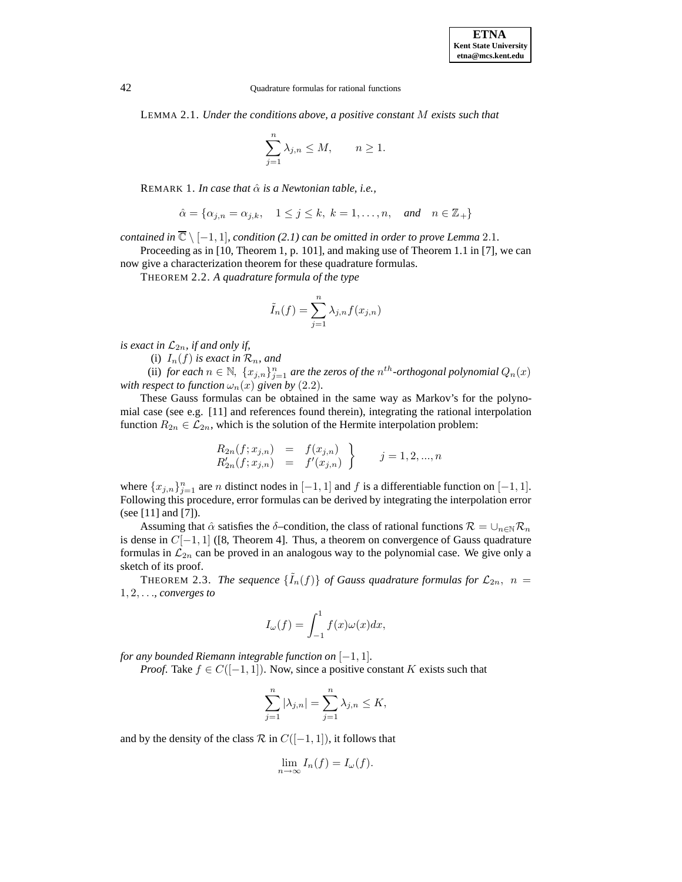LEMMA 2.1. *Under the conditions above, a positive constant* M *exists such that*

$$
\sum_{j=1}^{n} \lambda_{j,n} \le M, \qquad n \ge 1.
$$

REMARK 1. *In case that*  $\hat{\alpha}$  *is a Newtonian table, i.e.,* 

$$
\hat{\alpha} = \{ \alpha_{j,n} = \alpha_{j,k}, \quad 1 \le j \le k, \ k = 1, \dots, n, \quad \text{and} \quad n \in \mathbb{Z}_+ \}
$$

*contained in*  $\overline{\mathbb{C}} \setminus [-1,1]$ *, condition* (2.1) can be omitted in order to prove Lemma 2.1.

Proceeding as in [10, Theorem 1, p. 101], and making use of Theorem 1.1 in [7], we can now give a characterization theorem for these quadrature formulas.

THEOREM 2.2. *A quadrature formula of the type*

$$
\tilde{I}_n(f) = \sum_{j=1}^n \lambda_{j,n} f(x_{j,n})
$$

*is exact in*  $\mathcal{L}_{2n}$ *, if and only if,* 

(i)  $I_n(f)$  *is exact in*  $\mathcal{R}_n$ *, and* 

(ii) *for each*  $n \in \mathbb{N}$ ,  $\{x_{j,n}\}_{j=1}^n$  *are the zeros of the*  $n^{th}$ -orthogonal polynomial  $Q_n(x)$ *with respect to function*  $\omega_n(x)$  *given by* (2.2).

These Gauss formulas can be obtained in the same way as Markov's for the polynomial case (see e.g. [11] and references found therein), integrating the rational interpolation function  $R_{2n} \in \mathcal{L}_{2n}$ , which is the solution of the Hermite interpolation problem:

$$
R_{2n}(f; x_{j,n}) = f(x_{j,n}) R'_{2n}(f; x_{j,n}) = f'(x_{j,n})
$$
  $j = 1, 2, ..., n$ 

where  ${x_{j,n}}_{j=1}^n$  are *n* distinct nodes in  $[-1, 1]$  and *f* is a differentiable function on  $[-1, 1]$ . Following this procedure, error formulas can be derived by integrating the interpolation error (see [11] and [7]).

Assuming that  $\hat{\alpha}$  satisfies the  $\delta$ –condition, the class of rational functions  $\mathcal{R} = \cup_{n \in \mathbb{N}} \mathcal{R}_n$ is dense in  $C[-1, 1]$  ([8, Theorem 4]. Thus, a theorem on convergence of Gauss quadrature formulas in  $\mathcal{L}_{2n}$  can be proved in an analogous way to the polynomial case. We give only a sketch of its proof.

THEOREM 2.3. *The sequence*  $\{\tilde{I}_n(f)\}\$  of Gauss quadrature formulas for  $\mathcal{L}_{2n}$ ,  $n =$ 1, 2,...*, converges to*

$$
I_{\omega}(f) = \int_{-1}^{1} f(x)\omega(x)dx,
$$

*for any bounded Riemann integrable function on*  $[-1, 1]$ *.* 

*Proof.* Take  $f \in C([-1, 1])$ . Now, since a positive constant K exists such that

$$
\sum_{j=1}^{n} |\lambda_{j,n}| = \sum_{j=1}^{n} \lambda_{j,n} \le K,
$$

and by the density of the class  $\mathcal R$  in  $C([-1, 1])$ , it follows that

$$
\lim_{n \to \infty} I_n(f) = I_{\omega}(f).
$$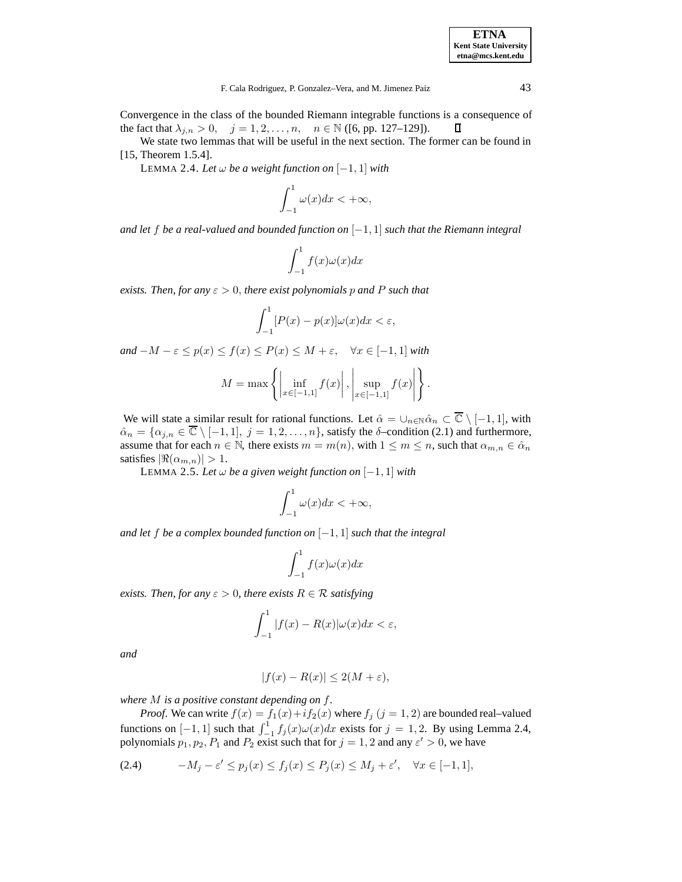Convergence in the class of the bounded Riemann integrable functions is a consequence of the fact that  $\lambda_{j,n} > 0$ ,  $j = 1, 2, ..., n$ ,  $n \in \mathbb{N}$  ([6, pp. 127–129]).  $\Box$ 

We state two lemmas that will be useful in the next section. The former can be found in [15, Theorem 1.5.4].

LEMMA 2.4. *Let* ω *be a weight function on* [−1, 1] *with*

$$
\int_{-1}^{1} \omega(x) dx < +\infty,
$$

*and let* f *be a real-valued and bounded function on* [−1, 1] *such that the Riemann integral*

$$
\int_{-1}^{1} f(x)\omega(x)dx
$$

*exists. Then, for any*  $\varepsilon > 0$ *, there exist polynomials p and* P *such that* 

$$
\int_{-1}^{1} [P(x) - p(x)] \omega(x) dx < \varepsilon,
$$

 $and -M - \varepsilon \leq p(x) \leq f(x) \leq P(x) \leq M + \varepsilon, \quad \forall x \in [-1, 1]$  *with* 

$$
M = \max \left\{ \left| \inf_{x \in [-1,1]} f(x) \right|, \left| \sup_{x \in [-1,1]} f(x) \right| \right\}.
$$

We will state a similar result for rational functions. Let  $\hat{\alpha} = \bigcup_{n \in \mathbb{N}} \hat{\alpha}_n \subset \overline{\mathbb{C}} \setminus [-1, 1]$ , with  $\hat{\alpha}_n = \{\alpha_{j,n} \in \overline{\mathbb{C}} \setminus [-1,1], j = 1,2,\ldots,n\}$ , satisfy the  $\delta$ -condition (2.1) and furthermore, assume that for each  $n \in \mathbb{N}$ , there exists  $m = m(n)$ , with  $1 \le m \le n$ , such that  $\alpha_{m,n} \in \hat{\alpha}_n$ satisfies  $|\Re(\alpha_{m,n})| > 1$ .

LEMMA 2.5. *Let* ω *be a given weight function on* [−1, 1] *with*

$$
\int_{-1}^{1} \omega(x) dx < +\infty,
$$

*and let* f *be a complex bounded function on* [−1, 1] *such that the integral*

$$
\int_{-1}^{1} f(x)\omega(x)dx
$$

*exists. Then, for any*  $\varepsilon > 0$ *, there exists*  $R \in \mathcal{R}$  *satisfying* 

$$
\int_{-1}^{1} |f(x) - R(x)| \omega(x) dx < \varepsilon,
$$

*and*

$$
|f(x) - R(x)| \le 2(M + \varepsilon),
$$

*where* M *is a positive constant depending on* f*.*

*Proof.* We can write  $f(x) = f_1(x) + if_2(x)$  where  $f_i$   $(j = 1, 2)$  are bounded real-valued functions on  $[-1, 1]$  such that  $\int_{-1}^{1} f_j(x) \omega(x) dx$  exists for  $j = 1, 2$ . By using Lemma 2.4, polynomials  $p_1, p_2, P_1$  and  $P_2$  exist such that for  $j = 1, 2$  and any  $\varepsilon' > 0$ , we have

$$
(2.4) \qquad -M_j - \varepsilon' \le p_j(x) \le f_j(x) \le P_j(x) \le M_j + \varepsilon', \quad \forall x \in [-1, 1],
$$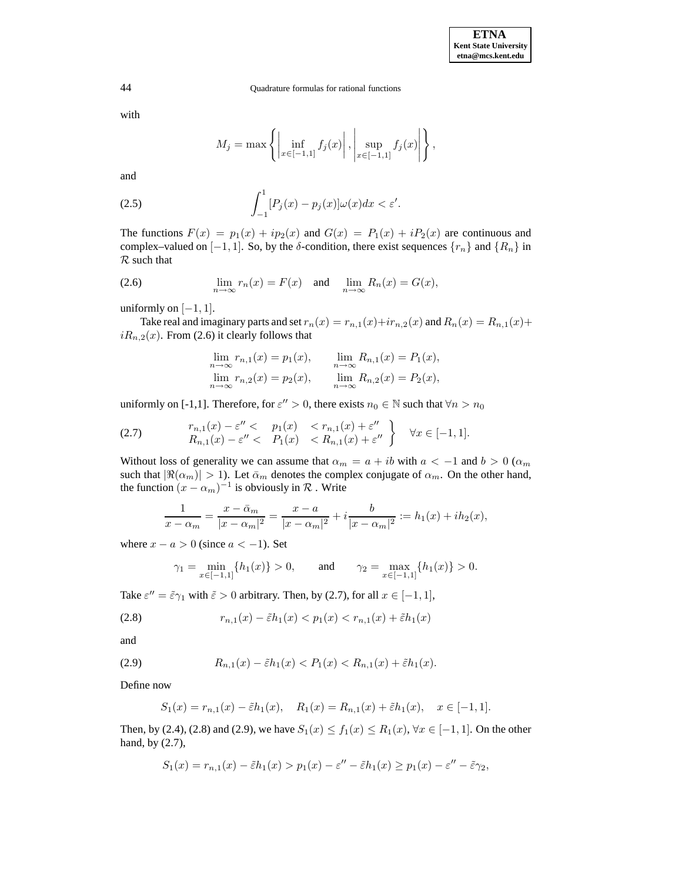with

$$
M_j = \max \left\{ \left| \inf_{x \in [-1,1]} f_j(x) \right|, \left| \sup_{x \in [-1,1]} f_j(x) \right| \right\},\
$$

and

(2.5) 
$$
\int_{-1}^{1} [P_j(x) - p_j(x)] \omega(x) dx < \varepsilon'.
$$

The functions  $F(x) = p_1(x) + ip_2(x)$  and  $G(x) = P_1(x) + iP_2(x)$  are continuous and complex–valued on  $[-1, 1]$ . So, by the  $\delta$ -condition, there exist sequences  $\{r_n\}$  and  $\{R_n\}$  in  $R$  such that

(2.6) 
$$
\lim_{n \to \infty} r_n(x) = F(x) \text{ and } \lim_{n \to \infty} R_n(x) = G(x),
$$

uniformly on  $[-1, 1]$ .

Take real and imaginary parts and set  $r_n(x) = r_{n,1}(x) + ir_{n,2}(x)$  and  $R_n(x) = R_{n,1}(x) +$  $iR_{n,2}(x)$ . From (2.6) it clearly follows that

$$
\lim_{n \to \infty} r_{n,1}(x) = p_1(x), \qquad \lim_{n \to \infty} R_{n,1}(x) = P_1(x),
$$
  

$$
\lim_{n \to \infty} r_{n,2}(x) = p_2(x), \qquad \lim_{n \to \infty} R_{n,2}(x) = P_2(x),
$$

uniformly on [-1,1]. Therefore, for  $\varepsilon'' > 0$ , there exists  $n_0 \in \mathbb{N}$  such that  $\forall n > n_0$ 

$$
(2.7) \quad r_{n,1}(x) - \varepsilon'' < p_1(x) < r_{n,1}(x) + \varepsilon''
$$
\n
$$
R_{n,1}(x) - \varepsilon'' < P_1(x) < R_{n,1}(x) + \varepsilon''
$$
\n
$$
y(x) \in [-1,1].
$$

Without loss of generality we can assume that  $\alpha_m = a + ib$  with  $a < -1$  and  $b > 0$  ( $\alpha_m$ ) such that  $|\Re(\alpha_m)| > 1$ ). Let  $\bar{\alpha}_m$  denotes the complex conjugate of  $\alpha_m$ . On the other hand, the function  $(x - \alpha_m)^{-1}$  is obviously in  $\mathcal R$ . Write

$$
\frac{1}{x - \alpha_m} = \frac{x - \bar{\alpha}_m}{|x - \alpha_m|^2} = \frac{x - a}{|x - \alpha_m|^2} + i \frac{b}{|x - \alpha_m|^2} := h_1(x) + ih_2(x),
$$

where  $x - a > 0$  (since  $a < -1$ ). Set

$$
\gamma_1 = \min_{x \in [-1,1]} \{ h_1(x) \} > 0, \quad \text{and} \quad \gamma_2 = \max_{x \in [-1,1]} \{ h_1(x) \} > 0.
$$

Take  $\varepsilon'' = \tilde{\varepsilon} \gamma_1$  with  $\tilde{\varepsilon} > 0$  arbitrary. Then, by (2.7), for all  $x \in [-1, 1]$ ,

(2.8) 
$$
r_{n,1}(x) - \tilde{\varepsilon}h_1(x) < p_1(x) < r_{n,1}(x) + \tilde{\varepsilon}h_1(x)
$$

and

(2.9) 
$$
R_{n,1}(x) - \tilde{\varepsilon}h_1(x) < P_1(x) < R_{n,1}(x) + \tilde{\varepsilon}h_1(x).
$$

Define now

$$
S_1(x) = r_{n,1}(x) - \tilde{\varepsilon}h_1(x), \quad R_1(x) = R_{n,1}(x) + \tilde{\varepsilon}h_1(x), \quad x \in [-1,1].
$$

Then, by (2.4), (2.8) and (2.9), we have  $S_1(x) \le f_1(x) \le R_1(x)$ ,  $\forall x \in [-1, 1]$ . On the other hand, by (2.7),

$$
S_1(x) = r_{n,1}(x) - \tilde{\varepsilon}h_1(x) > p_1(x) - \varepsilon'' - \tilde{\varepsilon}h_1(x) \ge p_1(x) - \varepsilon'' - \tilde{\varepsilon}\gamma_2,
$$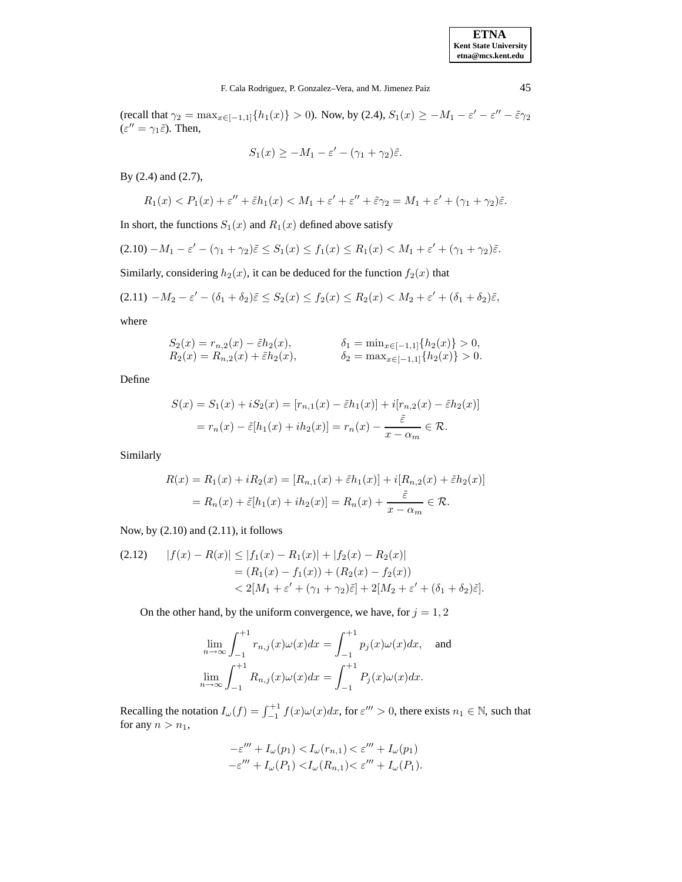(recall that  $\gamma_2 = \max_{x \in [-1,1]} \{h_1(x)\} > 0$ ). Now, by (2.4),  $S_1(x) \ge -M_1 - \varepsilon' - \varepsilon'' - \tilde{\varepsilon}\gamma_2$  $(\varepsilon^{\prime\prime} = \gamma_1 \tilde{\varepsilon})$ . Then,

$$
S_1(x) \ge -M_1 - \varepsilon' - (\gamma_1 + \gamma_2)\tilde{\varepsilon}.
$$

By (2.4) and (2.7),

$$
R_1(x) < P_1(x) + \varepsilon'' + \tilde{\varepsilon}h_1(x) < M_1 + \varepsilon' + \varepsilon'' + \tilde{\varepsilon}\gamma_2 = M_1 + \varepsilon' + (\gamma_1 + \gamma_2)\tilde{\varepsilon}.
$$

In short, the functions  $S_1(x)$  and  $R_1(x)$  defined above satisfy

$$
(2.10) - M_1 - \varepsilon' - (\gamma_1 + \gamma_2)\tilde{\varepsilon} \le S_1(x) \le f_1(x) \le R_1(x) < M_1 + \varepsilon' + (\gamma_1 + \gamma_2)\tilde{\varepsilon}.
$$

Similarly, considering  $h_2(x)$ , it can be deduced for the function  $f_2(x)$  that

$$
(2.11) \ -M_2 - \varepsilon' - (\delta_1 + \delta_2)\tilde{\varepsilon} \leq S_2(x) \leq f_2(x) \leq R_2(x) < M_2 + \varepsilon' + (\delta_1 + \delta_2)\tilde{\varepsilon},
$$

where

$$
S_2(x) = r_{n,2}(x) - \tilde{\varepsilon}h_2(x), \qquad \qquad \delta_1 = \min_{x \in [-1,1]} \{ h_2(x) \} > 0, R_2(x) = R_{n,2}(x) + \tilde{\varepsilon}h_2(x), \qquad \qquad \delta_2 = \max_{x \in [-1,1]} \{ h_2(x) \} > 0.
$$

Define

$$
S(x) = S_1(x) + iS_2(x) = [r_{n,1}(x) - \tilde{\varepsilon}h_1(x)] + i[r_{n,2}(x) - \tilde{\varepsilon}h_2(x)]
$$

$$
= r_n(x) - \tilde{\varepsilon}[h_1(x) + ih_2(x)] = r_n(x) - \frac{\tilde{\varepsilon}}{x - \alpha_m} \in \mathcal{R}.
$$

Similarly

$$
R(x) = R_1(x) + iR_2(x) = [R_{n,1}(x) + \tilde{\varepsilon}h_1(x)] + i[R_{n,2}(x) + \tilde{\varepsilon}h_2(x)]
$$
  
=  $R_n(x) + \tilde{\varepsilon}[h_1(x) + ih_2(x)] = R_n(x) + \frac{\tilde{\varepsilon}}{x - \alpha_m} \in \mathcal{R}.$ 

Now, by (2.10) and (2.11), it follows

$$
(2.12) \quad |f(x) - R(x)| \le |f_1(x) - R_1(x)| + |f_2(x) - R_2(x)|
$$
  
=  $(R_1(x) - f_1(x)) + (R_2(x) - f_2(x))$   
 $< 2[M_1 + \varepsilon' + (\gamma_1 + \gamma_2)\tilde{\varepsilon}] + 2[M_2 + \varepsilon' + (\delta_1 + \delta_2)\tilde{\varepsilon}].$ 

On the other hand, by the uniform convergence, we have, for  $j = 1, 2$ 

$$
\lim_{n \to \infty} \int_{-1}^{+1} r_{n,j}(x)\omega(x)dx = \int_{-1}^{+1} p_j(x)\omega(x)dx, \text{ and}
$$

$$
\lim_{n \to \infty} \int_{-1}^{+1} R_{n,j}(x)\omega(x)dx = \int_{-1}^{+1} P_j(x)\omega(x)dx.
$$

Recalling the notation  $I_{\omega}(f) = \int_{-1}^{+1} f(x)\omega(x)dx$ , for  $\varepsilon''' > 0$ , there exists  $n_1 \in \mathbb{N}$ , such that for any  $n>n_1$ ,

$$
-\varepsilon''' + I_{\omega}(p_1) < I_{\omega}(r_{n,1}) < \varepsilon''' + I_{\omega}(p_1)
$$
\n
$$
-\varepsilon''' + I_{\omega}(P_1) < I_{\omega}(R_{n,1}) < \varepsilon''' + I_{\omega}(P_1).
$$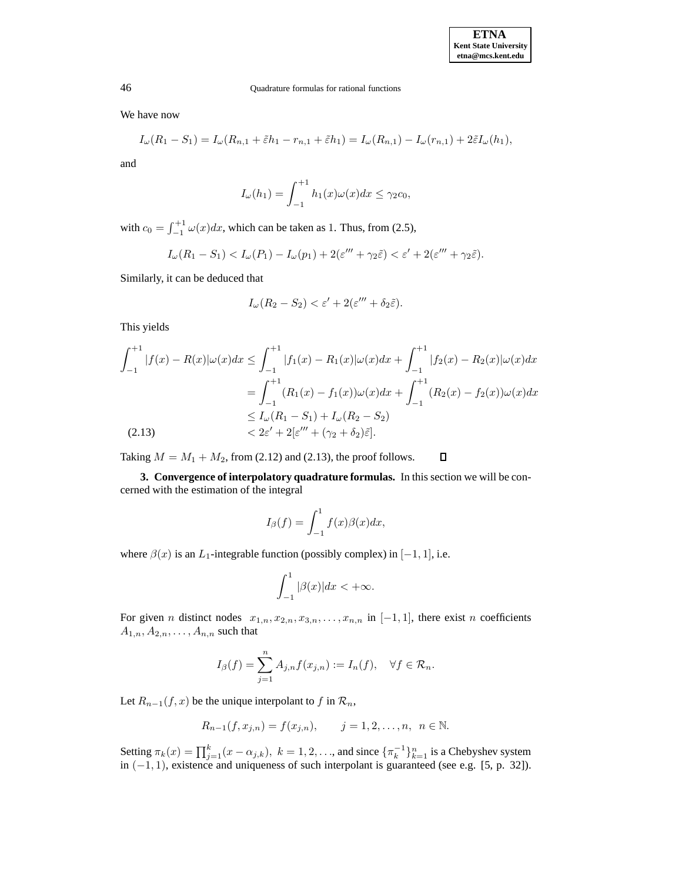We have now

$$
I_{\omega}(R_1 - S_1) = I_{\omega}(R_{n,1} + \tilde{\varepsilon}h_1 - r_{n,1} + \tilde{\varepsilon}h_1) = I_{\omega}(R_{n,1}) - I_{\omega}(r_{n,1}) + 2\tilde{\varepsilon}I_{\omega}(h_1),
$$

and

$$
I_{\omega}(h_1) = \int_{-1}^{+1} h_1(x)\omega(x)dx \leq \gamma_2 c_0,
$$

with  $c_0 = \int_{-1}^{+1} \omega(x) dx$ , which can be taken as 1. Thus, from (2.5),

$$
I_{\omega}(R_1 - S_1) < I_{\omega}(P_1) - I_{\omega}(p_1) + 2(\varepsilon''' + \gamma_2 \tilde{\varepsilon}) < \varepsilon' + 2(\varepsilon''' + \gamma_2 \tilde{\varepsilon}).
$$

Similarly, it can be deduced that

$$
I_{\omega}(R_2 - S_2) < \varepsilon' + 2(\varepsilon''' + \delta_2 \tilde{\varepsilon}).
$$

This yields

$$
\int_{-1}^{+1} |f(x) - R(x)| \omega(x) dx \le \int_{-1}^{+1} |f_1(x) - R_1(x)| \omega(x) dx + \int_{-1}^{+1} |f_2(x) - R_2(x)| \omega(x) dx
$$
  

$$
= \int_{-1}^{+1} (R_1(x) - f_1(x)) \omega(x) dx + \int_{-1}^{+1} (R_2(x) - f_2(x)) \omega(x) dx
$$
  

$$
\le I_\omega (R_1 - S_1) + I_\omega (R_2 - S_2)
$$
  

$$
< 2\varepsilon' + 2[\varepsilon''' + (\gamma_2 + \delta_2)\tilde{\varepsilon}].
$$

 $\Box$ Taking  $M = M_1 + M_2$ , from (2.12) and (2.13), the proof follows.

**3. Convergence of interpolatory quadrature formulas.** In this section we will be concerned with the estimation of the integral

$$
I_{\beta}(f) = \int_{-1}^{1} f(x)\beta(x)dx,
$$

where  $\beta(x)$  is an L<sub>1</sub>-integrable function (possibly complex) in [-1, 1], i.e.

$$
\int_{-1}^{1} |\beta(x)| dx < +\infty.
$$

For given n distinct nodes  $x_{1,n}, x_{2,n}, x_{3,n}, \ldots, x_{n,n}$  in  $[-1, 1]$ , there exist n coefficients  $A_{1,n}, A_{2,n}, \ldots, A_{n,n}$  such that

$$
I_{\beta}(f) = \sum_{j=1}^{n} A_{j,n} f(x_{j,n}) := I_n(f), \quad \forall f \in \mathcal{R}_n.
$$

Let  $R_{n-1}(f, x)$  be the unique interpolant to f in  $\mathcal{R}_n$ ,

$$
R_{n-1}(f, x_{j,n}) = f(x_{j,n}),
$$
   
  $j = 1, 2, ..., n, n \in \mathbb{N}.$ 

Setting  $\pi_k(x) = \prod_{j=1}^k (x - \alpha_{j,k}), k = 1, 2, \dots$ , and since  $\{\pi_k^{-1}\}_{k=1}^n$  is a Chebyshev system in  $(-1, 1)$ , existence and uniqueness of such interpolant is guaranteed (see e.g. [5, p. 32]).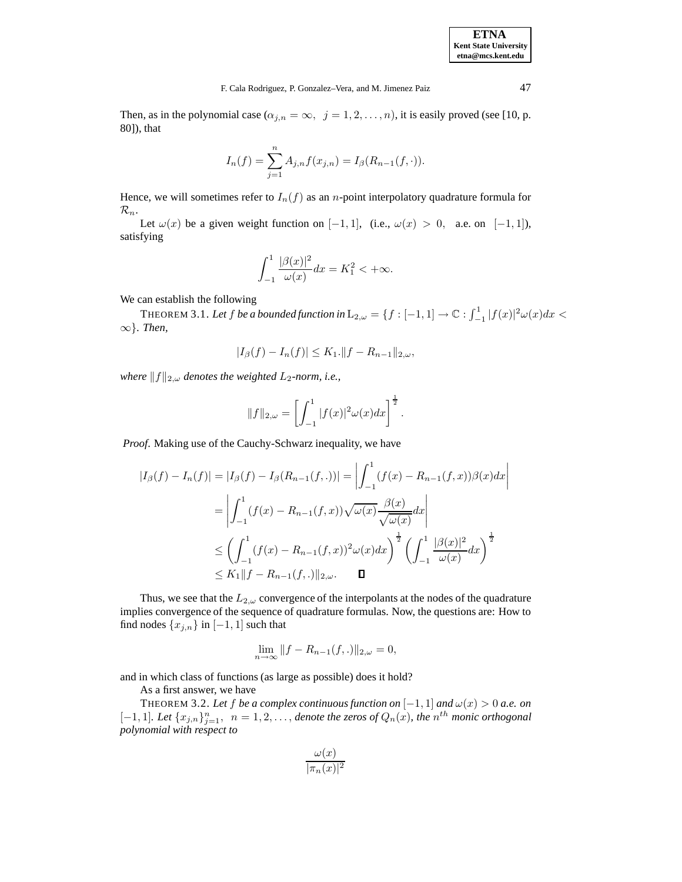Then, as in the polynomial case  $(\alpha_{j,n} = \infty, j = 1, 2, \ldots, n)$ , it is easily proved (see [10, p. 80]), that

$$
I_n(f) = \sum_{j=1}^n A_{j,n} f(x_{j,n}) = I_\beta(R_{n-1}(f,\cdot)).
$$

Hence, we will sometimes refer to  $I_n(f)$  as an *n*-point interpolatory quadrature formula for  $\mathcal{R}_n$ .

Let  $\omega(x)$  be a given weight function on [−1, 1], (i.e.,  $\omega(x) > 0$ , a.e. on [−1, 1]), satisfying

$$
\int_{-1}^{1} \frac{|\beta(x)|^2}{\omega(x)} dx = K_1^2 < +\infty.
$$

We can establish the following

THEOREM 3.1. Let  $f$  be a bounded function in  $L_{2,\omega} = \{f : [-1,1] \to \mathbb{C} : \int_{-1}^{1} |f(x)|^2 \omega(x) dx < \infty \}$ ∞}*. Then,*

$$
|I_{\beta}(f) - I_n(f)| \leq K_1 \cdot ||f - R_{n-1}||_{2,\omega},
$$

*where*  $||f||_{2,\omega}$  *denotes the weighted*  $L_2$ *-norm, i.e.,* 

$$
||f||_{2,\omega} = \left[\int_{-1}^{1} |f(x)|^2 \omega(x) dx\right]^{\frac{1}{2}}.
$$

*Proof*. Making use of the Cauchy-Schwarz inequality, we have

$$
|I_{\beta}(f) - I_n(f)| = |I_{\beta}(f) - I_{\beta}(R_{n-1}(f,.))| = \left| \int_{-1}^1 (f(x) - R_{n-1}(f,x))\beta(x)dx \right|
$$
  

$$
= \left| \int_{-1}^1 (f(x) - R_{n-1}(f,x))\sqrt{\omega(x)}\frac{\beta(x)}{\sqrt{\omega(x)}}dx \right|
$$
  

$$
\leq \left( \int_{-1}^1 (f(x) - R_{n-1}(f,x))^2 \omega(x)dx \right)^{\frac{1}{2}} \left( \int_{-1}^1 \frac{|\beta(x)|^2}{\omega(x)}dx \right)^{\frac{1}{2}}
$$
  

$$
\leq K_1 ||f - R_{n-1}(f,.)||_{2,\omega}. \quad \Box
$$

Thus, we see that the  $L_{2,\omega}$  convergence of the interpolants at the nodes of the quadrature implies convergence of the sequence of quadrature formulas. Now, the questions are: How to find nodes  $\{x_{i,n}\}\$ in  $[-1, 1]$  such that

$$
\lim_{n \to \infty} \|f - R_{n-1}(f,.)\|_{2,\omega} = 0,
$$

and in which class of functions (as large as possible) does it hold?

As a first answer, we have

THEOREM 3.2. Let f be a complex continuous function on  $[-1,1]$  and  $\omega(x) > 0$  a.e. on [-1, 1]. Let  $\{x_{j,n}\}_{j=1}^n$ ,  $n = 1, 2, \ldots$ , *denote the zeros of*  $Q_n(x)$ , the  $n^{th}$  monic orthogonal *polynomial with respect to*

$$
\frac{\omega(x)}{|\pi_n(x)|^2}
$$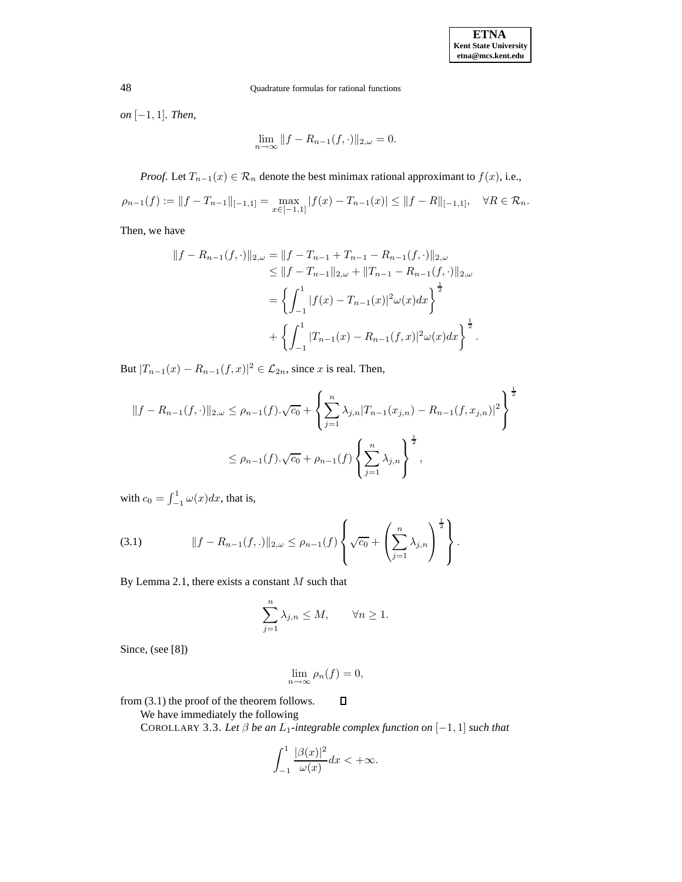*on* [−1, 1]*. Then,*

$$
\lim_{n \to \infty} ||f - R_{n-1}(f, \cdot)||_{2,\omega} = 0.
$$

*Proof.* Let  $T_{n-1}(x) \in \mathcal{R}_n$  denote the best minimax rational approximant to  $f(x)$ , i.e.,

$$
\rho_{n-1}(f) := \|f - T_{n-1}\|_{[-1,1]} = \max_{x \in [-1,1]} |f(x) - T_{n-1}(x)| \le \|f - R\|_{[-1,1]}, \quad \forall R \in \mathcal{R}_n.
$$

Then, we have

$$
||f - R_{n-1}(f, \cdot)||_{2,\omega} = ||f - T_{n-1} + T_{n-1} - R_{n-1}(f, \cdot)||_{2,\omega}
$$
  
\n
$$
\leq ||f - T_{n-1}||_{2,\omega} + ||T_{n-1} - R_{n-1}(f, \cdot)||_{2,\omega}
$$
  
\n
$$
= \left\{ \int_{-1}^{1} |f(x) - T_{n-1}(x)|^2 \omega(x) dx \right\}^{\frac{1}{2}}
$$
  
\n
$$
+ \left\{ \int_{-1}^{1} |T_{n-1}(x) - R_{n-1}(f, x)|^2 \omega(x) dx \right\}^{\frac{1}{2}}.
$$

But  $|T_{n-1}(x) - R_{n-1}(f, x)|^2 \in \mathcal{L}_{2n}$ , since x is real. Then,

$$
||f - R_{n-1}(f, \cdot)||_{2,\omega} \le \rho_{n-1}(f) \cdot \sqrt{c_0} + \left\{ \sum_{j=1}^n \lambda_{j,n} |T_{n-1}(x_{j,n}) - R_{n-1}(f, x_{j,n})|^2 \right\}^{\frac{1}{2}}
$$
  

$$
\le \rho_{n-1}(f) \cdot \sqrt{c_0} + \rho_{n-1}(f) \left\{ \sum_{j=1}^n \lambda_{j,n} \right\}^{\frac{1}{2}},
$$

with  $c_0 = \int_{-1}^{1} \omega(x) dx$ , that is,

(3.1) 
$$
||f - R_{n-1}(f,.)||_{2,\omega} \le \rho_{n-1}(f) \left\{ \sqrt{c_0} + \left( \sum_{j=1}^n \lambda_{j,n} \right)^{\frac{1}{2}} \right\}.
$$

By Lemma 2.1, there exists a constant  $M$  such that

$$
\sum_{j=1}^{n} \lambda_{j,n} \le M, \qquad \forall n \ge 1.
$$

Since, (see [8])

$$
\lim_{n \to \infty} \rho_n(f) = 0,
$$

 $\Box$ 

from (3.1) the proof of the theorem follows.

We have immediately the following

COROLLARY 3.3. *Let* β *be an* L1*-integrable complex function on* [−1, 1] *such that*

$$
\int_{-1}^{1} \frac{|\beta(x)|^2}{\omega(x)} dx < +\infty.
$$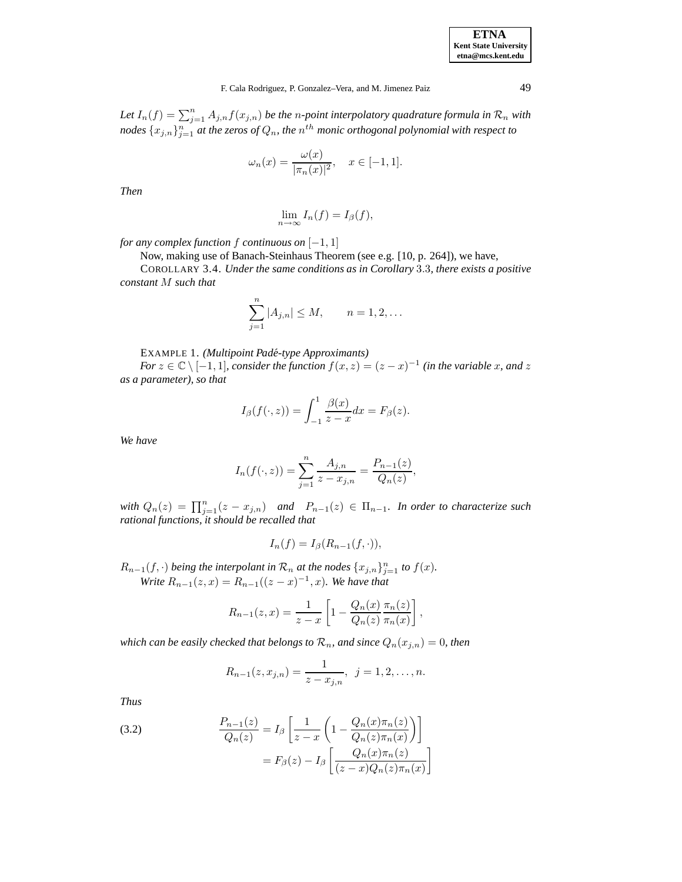| <b>ETNA</b>                  |
|------------------------------|
| <b>Kent State University</b> |
| etna@mcs.kent.edu            |

## F. Cala Rodriguez, P. Gonzalez–Vera, and M. Jimenez Paiz 49

Let  $I_n(f) = \sum_{j=1}^n A_{j,n} f(x_{j,n})$  be the *n-point interpolatory quadrature formula in*  $\mathcal{R}_n$  *with*  $\{x_{j,n}\}_{j=1}^n$  at the zeros of  $Q_n$ , the  $n^{th}$  monic orthogonal polynomial with respect to

$$
\omega_n(x) = \frac{\omega(x)}{|\pi_n(x)|^2}, \quad x \in [-1, 1].
$$

*Then*

$$
\lim_{n \to \infty} I_n(f) = I_\beta(f),
$$

*for any complex function*  $f$  *continuous on*  $[-1, 1]$ 

Now, making use of Banach-Steinhaus Theorem (see e.g. [10, p. 264]), we have,

COROLLARY 3.4. *Under the same conditions as in Corollary* 3.3*, there exists a positive constant* M *such that*

$$
\sum_{j=1}^{n} |A_{j,n}| \le M, \qquad n = 1, 2, ...
$$

EXAMPLE 1. *(Multipoint Pade-type Approximants) ´*

*For*  $z \in \mathbb{C} \setminus [-1, 1]$ *, consider the function*  $f(x, z) = (z - x)^{-1}$  *(in the variable x, and z as a parameter), so that*

$$
I_{\beta}(f(\cdot,z)) = \int_{-1}^{1} \frac{\beta(x)}{z - x} dx = F_{\beta}(z).
$$

*We have*

$$
I_n(f(\cdot, z)) = \sum_{j=1}^n \frac{A_{j,n}}{z - x_{j,n}} = \frac{P_{n-1}(z)}{Q_n(z)},
$$

*with*  $Q_n(z) = \prod_{j=1}^n (z - x_{j,n})$  *and*  $P_{n-1}(z) \in \Pi_{n-1}$ *. In order to characterize such rational functions, it should be recalled that*

$$
I_n(f) = I_\beta(R_{n-1}(f,\cdot)),
$$

 $R_{n-1}(f, \cdot)$  *being the interpolant in*  $\mathcal{R}_n$  *at the nodes*  $\{x_{j,n}\}_{j=1}^n$  *to*  $f(x)$ *. Write*  $R_{n-1}(z, x) = R_{n-1}((z - x)^{-1}, x)$ *. We have that* 

$$
R_{n-1}(z,x) = \frac{1}{z-x} \left[ 1 - \frac{Q_n(x)}{Q_n(z)} \frac{\pi_n(z)}{\pi_n(x)} \right],
$$

*which can be easily checked that belongs to*  $\mathcal{R}_n$ *, and since*  $Q_n(x_{j,n})=0$ *, then* 

$$
R_{n-1}(z,x_{j,n}) = \frac{1}{z - x_{j,n}}, \ \ j = 1,2,\ldots,n.
$$

*Thus*

(3.2) 
$$
\frac{P_{n-1}(z)}{Q_n(z)} = I_\beta \left[ \frac{1}{z-x} \left( 1 - \frac{Q_n(x)\pi_n(z)}{Q_n(z)\pi_n(x)} \right) \right]
$$

$$
= F_\beta(z) - I_\beta \left[ \frac{Q_n(x)\pi_n(z)}{(z-x)Q_n(z)\pi_n(x)} \right]
$$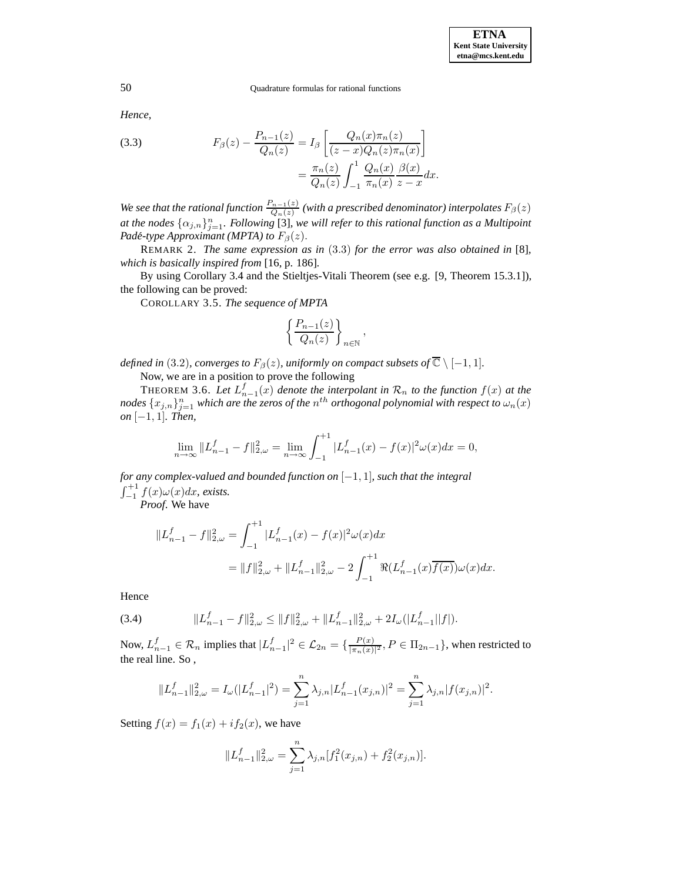*Hence,*

(3.3) 
$$
F_{\beta}(z) - \frac{P_{n-1}(z)}{Q_n(z)} = I_{\beta} \left[ \frac{Q_n(x)\pi_n(z)}{(z-x)Q_n(z)\pi_n(x)} \right] = \frac{\pi_n(z)}{Q_n(z)} \int_{-1}^1 \frac{Q_n(x)}{\pi_n(x)} \frac{\beta(x)}{z-x} dx.
$$

*We see that the rational function*  $\frac{P_{n-1}(z)}{Q_n(z)}$  *(with a prescribed denominator) interpolates*  $F_\beta(z)$ *at the nodes*  $\{\alpha_{j,n}\}_{j=1}^n$ . Following [3], we will refer to this rational function as a Multipoint *Padé-type Approximant (MPTA) to*  $F_\beta(z)$ .

REMARK 2. *The same expression as in* (3.3) *for the error was also obtained in* [8]*, which is basically inspired from* [16, p. 186]*.*

By using Corollary 3.4 and the Stieltjes-Vitali Theorem (see e.g. [9, Theorem 15.3.1]), the following can be proved:

COROLLARY 3.5. *The sequence of MPTA*

$$
\left\{\frac{P_{n-1}(z)}{Q_n(z)}\right\}_{n\in\mathbb{N}},
$$

*defined in* (3.2)*, converges to*  $F_\beta(z)$ *, uniformly on compact subsets of*  $\overline{C} \setminus [-1, 1]$ *.* 

Now, we are in a position to prove the following

THEOREM 3.6. Let  $L_{n-1}^f(x)$  denote the interpolant in  $\mathcal{R}_n$  to the function  $f(x)$  at the  $n$ odes  $\{x_{j,n}\}_{j=1}^n$  which are the zeros of the  $n^{th}$  orthogonal polynomial with respect to  $\omega_n(x)$ *on* [−1, 1]*. Then,*

$$
\lim_{n \to \infty} ||L_{n-1}^f - f||_{2,\omega}^2 = \lim_{n \to \infty} \int_{-1}^{+1} |L_{n-1}^f(x) - f(x)|^2 \omega(x) dx = 0,
$$

*for any complex-valued and bounded function on* [−1, 1]*, such that the integral*  $\int_{-1}^{+1} f(x)\omega(x)dx$ , exists.<br>*Proof.* We have

$$
\begin{aligned} \|L_{n-1}^f-f\|_{2,\omega}^2&=\int_{-1}^{+1}|L_{n-1}^f(x)-f(x)|^2\omega(x)dx\\ &=\|f\|_{2,\omega}^2+\|L_{n-1}^f\|_{2,\omega}^2-2\int_{-1}^{+1}\Re(L_{n-1}^f(x)\overline{f(x)})\omega(x)dx. \end{aligned}
$$

Hence

(3.4) 
$$
||L_{n-1}^f - f||_{2,\omega}^2 \le ||f||_{2,\omega}^2 + ||L_{n-1}^f||_{2,\omega}^2 + 2I_{\omega}(|L_{n-1}^f||f|).
$$

Now,  $L_{n-1}^f \in \mathcal{R}_n$  implies that  $|L_{n-1}^f|^2 \in \mathcal{L}_{2n} = \{\frac{P(x)}{|\pi_n(x)|^2}, P \in \Pi_{2n-1}\}\)$ , when restricted to the real line. So ,

$$
||L_{n-1}^f||_{2,\omega}^2 = I_{\omega}(|L_{n-1}^f|^2) = \sum_{j=1}^n \lambda_{j,n} |L_{n-1}^f(x_{j,n})|^2 = \sum_{j=1}^n \lambda_{j,n} |f(x_{j,n})|^2.
$$

Setting  $f(x) = f_1(x) + i f_2(x)$ , we have

$$
||L_{n-1}^f||_{2,\omega}^2 = \sum_{j=1}^n \lambda_{j,n} [f_1^2(x_{j,n}) + f_2^2(x_{j,n})].
$$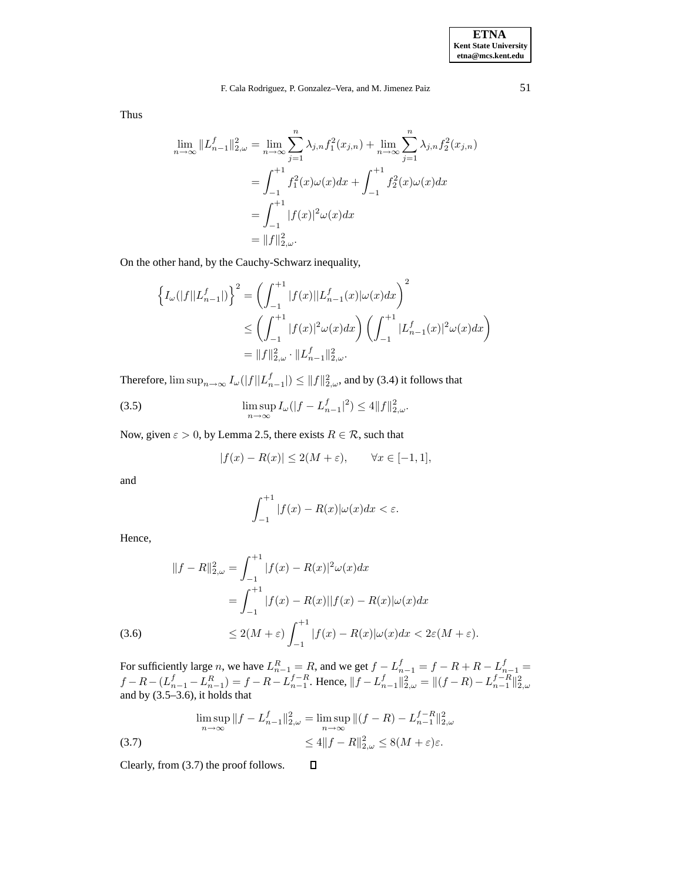Thus

$$
\lim_{n \to \infty} \|L_{n-1}^f\|_{2,\omega}^2 = \lim_{n \to \infty} \sum_{j=1}^n \lambda_{j,n} f_1^2(x_{j,n}) + \lim_{n \to \infty} \sum_{j=1}^n \lambda_{j,n} f_2^2(x_{j,n})
$$
  
= 
$$
\int_{-1}^{+1} f_1^2(x)\omega(x)dx + \int_{-1}^{+1} f_2^2(x)\omega(x)dx
$$
  
= 
$$
\int_{-1}^{+1} |f(x)|^2 \omega(x)dx
$$
  
= 
$$
||f||_{2,\omega}^2.
$$

On the other hand, by the Cauchy-Schwarz inequality,

$$
\left\{ I_{\omega}(|f||L_{n-1}^{f}|) \right\}^{2} = \left( \int_{-1}^{+1} |f(x)||L_{n-1}^{f}(x)|\omega(x)dx \right)^{2}
$$
  

$$
\leq \left( \int_{-1}^{+1} |f(x)|^{2} \omega(x)dx \right) \left( \int_{-1}^{+1} |L_{n-1}^{f}(x)|^{2} \omega(x)dx \right)
$$
  

$$
= ||f||_{2,\omega}^{2} \cdot ||L_{n-1}^{f}||_{2,\omega}^{2}.
$$

Therefore,  $\limsup_{n\to\infty} I_\omega(|f||L_{n-1}^f|) \leq ||f||_{2,\omega}^2$ , and by (3.4) it follows that

(3.5) 
$$
\limsup_{n \to \infty} I_{\omega}(|f - L_{n-1}^{f}|^2) \le 4||f||_{2,\omega}^2.
$$

Now, given  $\varepsilon > 0$ , by Lemma 2.5, there exists  $R \in \mathcal{R}$ , such that

$$
|f(x) - R(x)| \le 2(M + \varepsilon), \qquad \forall x \in [-1, 1],
$$

and

$$
\int_{-1}^{+1} |f(x) - R(x)| \omega(x) dx < \varepsilon.
$$

Hence,

$$
||f - R||_{2,\omega}^{2} = \int_{-1}^{+1} |f(x) - R(x)|^{2} \omega(x) dx
$$
  

$$
= \int_{-1}^{+1} |f(x) - R(x)||f(x) - R(x)|\omega(x) dx
$$
  

$$
\leq 2(M + \varepsilon) \int_{-1}^{+1} |f(x) - R(x)|\omega(x) dx < 2\varepsilon(M + \varepsilon).
$$

For sufficiently large n, we have  $L_{n-1}^R = R$ , and we get  $f - L_{n-1}^f = f - R + R - L_{n-1}^f =$  $f - R - (L_{n-1}^f - L_{n-1}^R) = f - R - L_{n-1}^{f-R}$ . Hence,  $||f - L_{n-1}^f||_{2,\omega}^2 = ||(f - R) - L_{n-1}^{f-R}||_{2,\omega}^2$  and by (3.5–3.6), it holds that

 $\Box$ 

$$
\limsup_{n \to \infty} \|f - L_{n-1}^f\|_{2,\omega}^2 = \limsup_{n \to \infty} \|(f - R) - L_{n-1}^{f - R}\|_{2,\omega}^2
$$
\n
$$
\leq 4 \|f - R\|_{2,\omega}^2 \leq 8(M + \varepsilon)\varepsilon.
$$
\n(3.7)

Clearly, from (3.7) the proof follows.